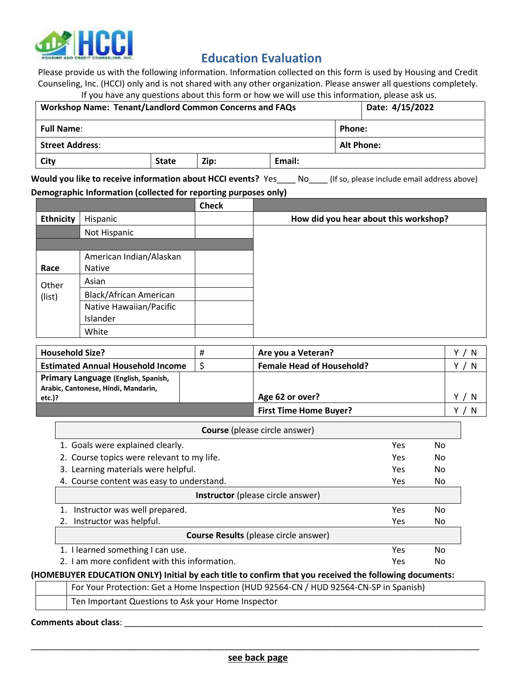

## **Education Evaluation**

Please provide us with the following information. Information collected on this form is used by Housing and Credit Counseling, Inc. (HCCI) only and is not shared with any other organization. Please answer all questions completely. If you have any questions about this form or how we will use this information, please ask us.

| Date: 4/15/2022<br><b>Workshop Name: Tenant/Landlord Common Concerns and FAQs</b> |              |      |        |                   |  |
|-----------------------------------------------------------------------------------|--------------|------|--------|-------------------|--|
| <b>Full Name:</b>                                                                 |              |      |        | Phone:            |  |
| <b>Street Address:</b>                                                            |              |      |        | <b>Alt Phone:</b> |  |
| City                                                                              | <b>State</b> | Zip: | Email: |                   |  |

**Would you like to receive information about HCCI events?** Yes\_\_\_\_ No\_\_\_\_ (If so, please include email address above)

## **Demographic Information (collected for reporting purposes only)**

|                  |                                          | <b>Check</b> |                                       |
|------------------|------------------------------------------|--------------|---------------------------------------|
| <b>Ethnicity</b> | Hispanic                                 |              | How did you hear about this workshop? |
|                  | Not Hispanic                             |              |                                       |
|                  |                                          |              |                                       |
| Race             | American Indian/Alaskan<br><b>Native</b> |              |                                       |
| Other            | Asian                                    |              |                                       |
| (list)           | Black/African American                   |              |                                       |
|                  | Native Hawaiian/Pacific                  |              |                                       |
|                  | Islander                                 |              |                                       |
|                  | White                                    |              |                                       |

| <b>Household Size?</b>                                                                  |  | Are you a Veteran?               |   |
|-----------------------------------------------------------------------------------------|--|----------------------------------|---|
| <b>Estimated Annual Household Income</b>                                                |  | <b>Female Head of Household?</b> | N |
| Primary Language (English, Spanish,<br>Arabic, Cantonese, Hindi, Mandarin,<br>$etc.$ )? |  | Age 62 or over?                  |   |
|                                                                                         |  | <b>First Time Home Buyer?</b>    |   |

| <b>Course</b> (please circle answer)                                                                   |            |     |
|--------------------------------------------------------------------------------------------------------|------------|-----|
| 1. Goals were explained clearly.                                                                       | <b>Yes</b> | No. |
| 2. Course topics were relevant to my life.                                                             | Yes.       | No. |
| 3. Learning materials were helpful.                                                                    | <b>Yes</b> | No. |
| 4. Course content was easy to understand.                                                              | <b>Yes</b> | No. |
| <b>Instructor</b> (please circle answer)                                                               |            |     |
| Instructor was well prepared.                                                                          | <b>Yes</b> | No  |
| 2. Instructor was helpful.                                                                             | <b>Yes</b> | No  |
| <b>Course Results (please circle answer)</b>                                                           |            |     |
| 1. I learned something I can use.                                                                      | <b>Yes</b> | No. |
| 2. Lam more confident with this information.                                                           | <b>Yes</b> | No. |
| (HOMEBUYER EDUCATION ONLY) Initial by each title to confirm that you received the following documents: |            |     |

For Your Protection: Get a Home Inspection (HUD 92564-CN / HUD 92564-CN-SP in Spanish)

| Ten Important Questions to Ask your Home Inspector |  |
|----------------------------------------------------|--|
|                                                    |  |

## **Comments about class**: \_\_\_\_\_\_\_\_\_\_\_\_\_\_\_\_\_\_\_\_\_\_\_\_\_\_\_\_\_\_\_\_\_\_\_\_\_\_\_\_\_\_\_\_\_\_\_\_\_\_\_\_\_\_\_\_\_\_\_\_\_\_\_\_\_\_\_\_\_\_\_\_\_\_\_\_